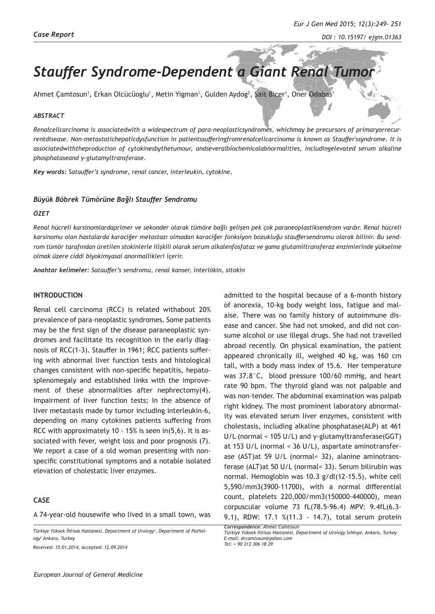# **Stauffer Syndrome-Dependent a Giant Renal Tumo**

Ahmet Çamtosun', Erkan Olcücüoglu', Metin Yigman', Gulden Aydog<sup>2</sup>, Sait Bicer', Oner Odabas'

#### *ABSTRACT*

*Renalcellcarcinoma is associatedwith a widespectrum of para-neoplasticsyndromes, whichmay be precursors of primaryorrecurrentdisease. Non-metastatichepaticdysfunction in patientssufferingfromrenalcellcarcinoma is known as Stauffer'ssyndrome. It is associatedwiththeproduction of cytokinesbythetumour, andseveralbiochemicalabnormalities, includingelevated serum alkaline phosphataseand γ-glutamyltransferase.*

*Key words: Satauffer's syndrome, renal cancer, interleukin, cytokine,* 

#### *Büyük Böbrek Tümörüne Bağlı Stauffer Sendromu*

#### *ÖZET*

*Renal hücreli karsinomlardaprimer ve sekonder olarak tümöre bağlı gelişen pek çok paraneoplastiksendrom vardır. Renal hücreli karsinomu olan hastalarda karaciğer metastazı olmadan karaciğer fonksiyon bozukluğu stauffersendromu olarak bilinir. Bu sendrom tümör tarafından üretilen stokinlerle ilişkili olarak serum alkalenfosfataz ve gama glutamiltransferaz enzimlerinde yükselme olmak üzere ciddi biyokimyasal anormallikleri içerir.*

*Anahtar kelimeler: Satauffer's sendromu, renal kanser, interlökin, sitokin* 

### **INTRODUCTION**

Renal cell carcinoma (RCC) is related withabout 20% prevalence of para-neoplastic syndromes. Some patients may be the first sign of the disease paraneoplastic syndromes and facilitate its recognition in the early diagnosis of RCC(1-3). Stauffer in 1961; RCC patients suffering with abnormal liver function tests and histological changes consistent with non-specific hepatitis, hepatosplenomegaly and established links with the improvement of these abnormalities after nephrectomy(4). Impairment of liver function tests; In the absence of liver metastasis made by tumor including interleukin-6, depending on many cytokines patients suffering from RCC with approximately 10 - 15% is seen in(5,6). It is associated with fever, weight loss and poor prognosis (7). We report a case of a old woman presenting with nonspecific constitutional symptoms and a notable isolated elevation of cholestatic liver enzymes.

## **CASE**

A 74-year-old housewife who lived in a small town, was

*Türkiye Yüksek İhtisas Hastanesi, Department of Urology<sup>1</sup> , Department of Pathology<sup>2</sup> Ankara, Turkey Received: 15.01.2014, Accepted: 12.09.2014*

*European Journal of General Medicine*

admitted to the hospital because of a 6-month history of anorexia, 10-kg body weight loss, fatigue and malaise. There was no family history of autoimmune disease and cancer. She had not smoked, and did not consume alcohol or use illegal drugs. She had not travelled abroad recently. On physical examination, the patient appeared chronically ill, weighed 40 kg, was 160 cm tall, with a body mass index of 15.6. Her temperature was 37.8°C, blood pressure 100/60 mmHg, and heart rate 90 bpm. The thyroid gland was not palpable and was non-tender. The abdominal examination was palpab right kidney. The most prominent laboratory abnormality was elevated serum liver enzymes, consistent with cholestasis, including alkaline phosphatase(ALP) at 461 U/L (normal < 105 U/L) and γ-glutamyltransferase(GGT) at 153 U/L (normal < 36 U/L), aspartate aminotransferase (AST)at 59 U/L (normal< 32), alanine aminotransferase (ALT)at 50 U/L (normal< 33). Serum bilirubin was normal. Hemoglobin was 10.3 g/dl(12-15.5), white cell 5,590/mm3(3900-11700), with a normal differential count, platelets 220,000/mm3(150000-440000), mean corpuscular volume 73 fL(78.5-96.4) MPV: 9.4fL(6.3- 9.1), RDW: 17.1 %(11.3 - 14.7), total serum protein

*Correspondence: Ahmet Camtosun Türkiye Yüksek İhtisas Hastanesi, Department of Urology Sıhhıye, Ankara, Turkey E-mail: drcamtosun@yahoo.com Tel: + 90 312 306 18 29*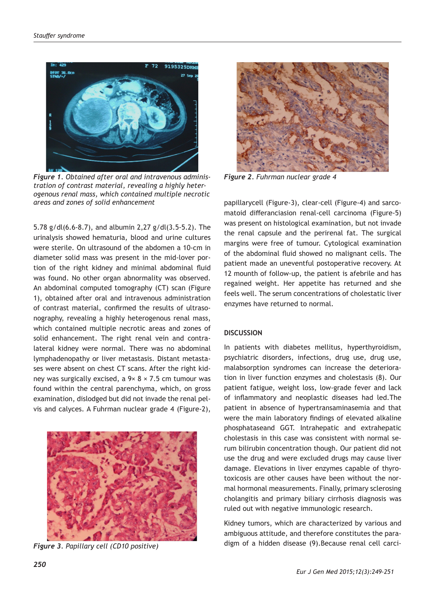

*Figure 1. Obtained after oral and intravenous administration of contrast material, revealing a highly heterogenous renal mass, which contained multiple necrotic areas and zones of solid enhancement*

5.78 g/dl(6.6-8.7), and albumin 2,27 g/dl(3.5-5.2). The urinalysis showed hematuria, blood and urine cultures were sterile. On ultrasound of the abdomen a 10-cm in diameter solid mass was present in the mid-lover portion of the right kidney and minimal abdominal fluid was found. No other organ abnormality was observed. An abdominal computed tomography (CT) scan (Figure 1), obtained after oral and intravenous administration of contrast material, confirmed the results of ultrasonography, revealing a highly heterogenous renal mass, which contained multiple necrotic areas and zones of solid enhancement. The right renal vein and contralateral kidney were normal. There was no abdominal lymphadenopathy or liver metastasis. Distant metastases were absent on chest CT scans. After the right kidney was surgically excised, a  $9 \times 8 \times 7.5$  cm tumour was found within the central parenchyma, which, on gross examination, dislodged but did not invade the renal pelvis and calyces. A Fuhrman nuclear grade 4 (Figure-2),



*Figure 3. Papillary cell (CD10 positive)*



*Figure 2. Fuhrman nuclear grade 4*

papillarycell (Figure-3), clear-cell (Figure-4) and sarcomatoid differanciasion renal-cell carcinoma (Figure-5) was present on histological examination, but not invade the renal capsule and the perirenal fat. The surgical margins were free of tumour. Cytological examination of the abdominal fluid showed no malignant cells. The patient made an uneventful postoperative recovery. At 12 mounth of follow-up, the patient is afebrile and has regained weight. Her appetite has returned and she feels well. The serum concentrations of cholestatic liver enzymes have returned to normal.

#### **DISCUSSION**

In patients with diabetes mellitus, hyperthyroidism, psychiatric disorders, infections, drug use, drug use, malabsorption syndromes can increase the deterioration in liver function enzymes and cholestasis (8). Our patient fatigue, weight loss, low-grade fever and lack of inflammatory and neoplastic diseases had led.The patient in absence of hypertransaminasemia and that were the main laboratory findings of elevated alkaline phosphataseand GGT. Intrahepatic and extrahepatic cholestasis in this case was consistent with normal serum bilirubin concentration though. Our patient did not use the drug and were excluded drugs may cause liver damage. Elevations in liver enzymes capable of thyrotoxicosis are other causes have been without the normal hormonal measurements. Finally, primary sclerosing cholangitis and primary biliary cirrhosis diagnosis was ruled out with negative immunologic research.

Kidney tumors, which are characterized by various and ambiguous attitude, and therefore constitutes the paradigm of a hidden disease (9).Because renal cell carci-